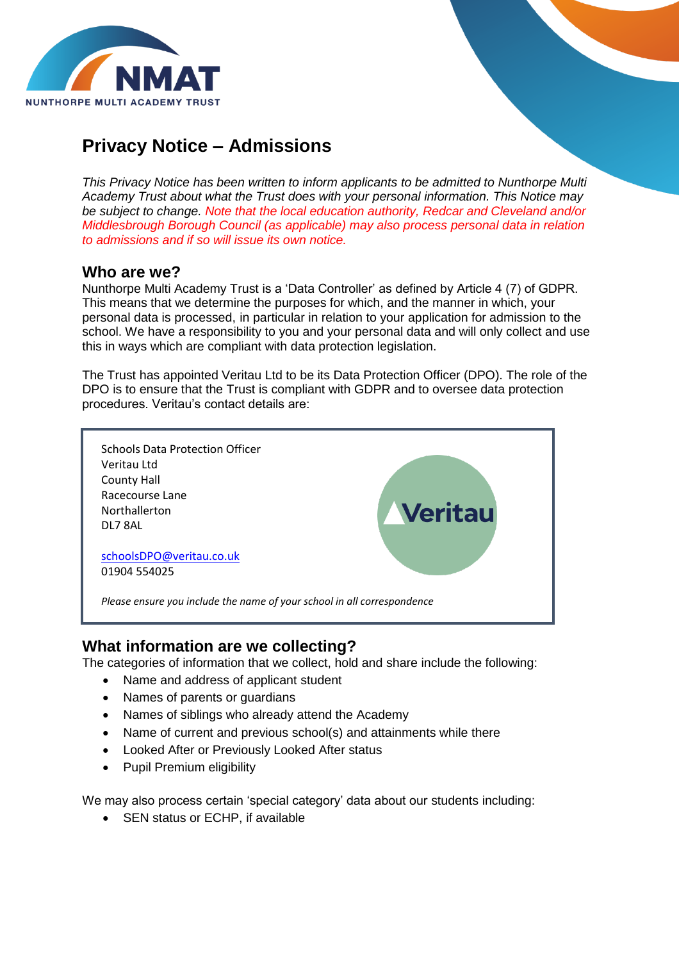

# **Privacy Notice – Admissions**

*This Privacy Notice has been written to inform applicants to be admitted to Nunthorpe Multi Academy Trust about what the Trust does with your personal information. This Notice may be subject to change. Note that the local education authority, Redcar and Cleveland and/or Middlesbrough Borough Council (as applicable) may also process personal data in relation to admissions and if so will issue its own notice.*

### **Who are we?**

Nunthorpe Multi Academy Trust is a 'Data Controller' as defined by Article 4 (7) of GDPR. This means that we determine the purposes for which, and the manner in which, your personal data is processed, in particular in relation to your application for admission to the school. We have a responsibility to you and your personal data and will only collect and use this in ways which are compliant with data protection legislation.

The Trust has appointed Veritau Ltd to be its Data Protection Officer (DPO). The role of the DPO is to ensure that the Trust is compliant with GDPR and to oversee data protection procedures. Veritau's contact details are:



# **What information are we collecting?**

The categories of information that we collect, hold and share include the following:

- Name and address of applicant student
- Names of parents or guardians
- Names of siblings who already attend the Academy
- Name of current and previous school(s) and attainments while there
- Looked After or Previously Looked After status
- Pupil Premium eligibility

We may also process certain 'special category' data about our students including:

• SEN status or ECHP, if available